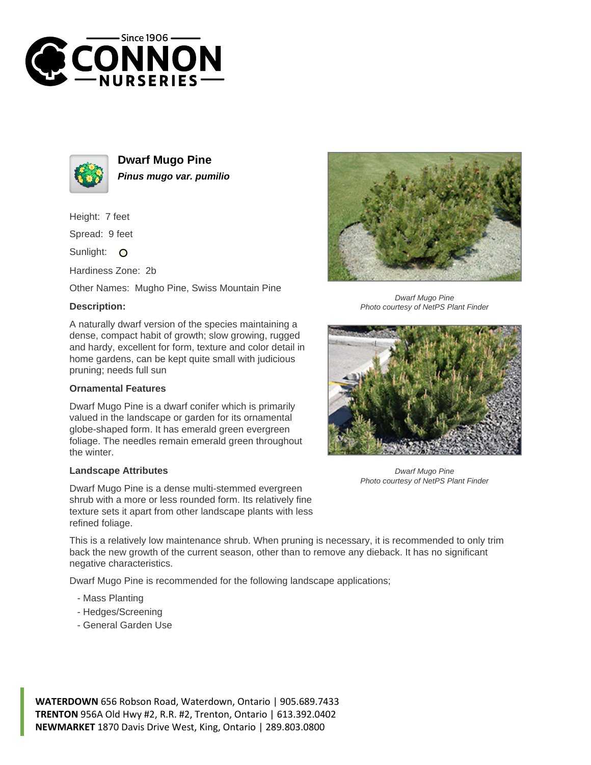



**Dwarf Mugo Pine Pinus mugo var. pumilio**

Height: 7 feet

Spread: 9 feet

Sunlight: O

Hardiness Zone: 2b

Other Names: Mugho Pine, Swiss Mountain Pine

## **Description:**

A naturally dwarf version of the species maintaining a dense, compact habit of growth; slow growing, rugged and hardy, excellent for form, texture and color detail in home gardens, can be kept quite small with judicious pruning; needs full sun

## **Ornamental Features**

Dwarf Mugo Pine is a dwarf conifer which is primarily valued in the landscape or garden for its ornamental globe-shaped form. It has emerald green evergreen foliage. The needles remain emerald green throughout the winter.

## **Landscape Attributes**

Dwarf Mugo Pine is a dense multi-stemmed evergreen shrub with a more or less rounded form. Its relatively fine texture sets it apart from other landscape plants with less refined foliage.

This is a relatively low maintenance shrub. When pruning is necessary, it is recommended to only trim back the new growth of the current season, other than to remove any dieback. It has no significant negative characteristics.

Dwarf Mugo Pine is recommended for the following landscape applications;

- Mass Planting
- Hedges/Screening
- General Garden Use





Dwarf Mugo Pine Photo courtesy of NetPS Plant Finder



Dwarf Mugo Pine Photo courtesy of NetPS Plant Finder

**WATERDOWN** 656 Robson Road, Waterdown, Ontario | 905.689.7433 **TRENTON** 956A Old Hwy #2, R.R. #2, Trenton, Ontario | 613.392.0402 **NEWMARKET** 1870 Davis Drive West, King, Ontario | 289.803.0800